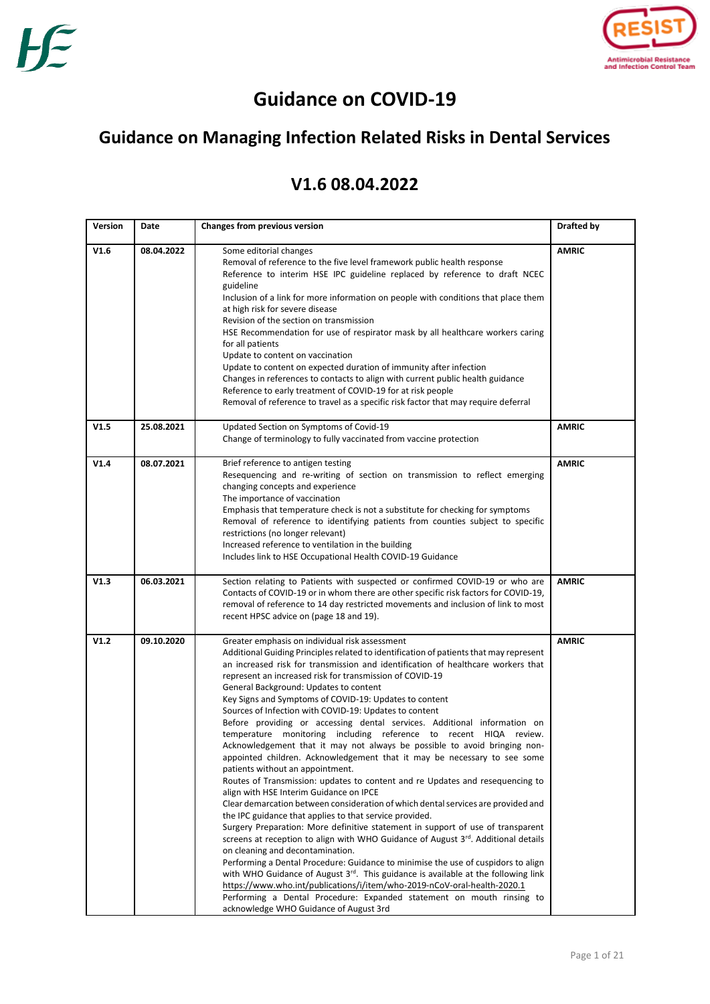

# **Guidance on COVID-19**

# **Guidance on Managing Infection Related Risks in Dental Services**

# **V1.6 08.04.2022**

| Version | Date       | <b>Changes from previous version</b>                                                                                                                                                                                                                                                                                                                                                                                                                                                                                                                                                                                                                                                                                                                                                                                                                                                                                                                                                                                                                                                                                                                                                                                                                                                                                                                                                                                                                                                                                                                                                                                                                                               | Drafted by   |
|---------|------------|------------------------------------------------------------------------------------------------------------------------------------------------------------------------------------------------------------------------------------------------------------------------------------------------------------------------------------------------------------------------------------------------------------------------------------------------------------------------------------------------------------------------------------------------------------------------------------------------------------------------------------------------------------------------------------------------------------------------------------------------------------------------------------------------------------------------------------------------------------------------------------------------------------------------------------------------------------------------------------------------------------------------------------------------------------------------------------------------------------------------------------------------------------------------------------------------------------------------------------------------------------------------------------------------------------------------------------------------------------------------------------------------------------------------------------------------------------------------------------------------------------------------------------------------------------------------------------------------------------------------------------------------------------------------------------|--------------|
| V1.6    | 08.04.2022 | Some editorial changes<br>Removal of reference to the five level framework public health response<br>Reference to interim HSE IPC guideline replaced by reference to draft NCEC<br>guideline<br>Inclusion of a link for more information on people with conditions that place them<br>at high risk for severe disease<br>Revision of the section on transmission<br>HSE Recommendation for use of respirator mask by all healthcare workers caring<br>for all patients<br>Update to content on vaccination<br>Update to content on expected duration of immunity after infection<br>Changes in references to contacts to align with current public health guidance<br>Reference to early treatment of COVID-19 for at risk people<br>Removal of reference to travel as a specific risk factor that may require deferral                                                                                                                                                                                                                                                                                                                                                                                                                                                                                                                                                                                                                                                                                                                                                                                                                                                            | <b>AMRIC</b> |
| V1.5    | 25.08.2021 | Updated Section on Symptoms of Covid-19<br>Change of terminology to fully vaccinated from vaccine protection                                                                                                                                                                                                                                                                                                                                                                                                                                                                                                                                                                                                                                                                                                                                                                                                                                                                                                                                                                                                                                                                                                                                                                                                                                                                                                                                                                                                                                                                                                                                                                       | <b>AMRIC</b> |
| V1.4    | 08.07.2021 | Brief reference to antigen testing<br>Resequencing and re-writing of section on transmission to reflect emerging<br>changing concepts and experience<br>The importance of vaccination<br>Emphasis that temperature check is not a substitute for checking for symptoms<br>Removal of reference to identifying patients from counties subject to specific<br>restrictions (no longer relevant)<br>Increased reference to ventilation in the building<br>Includes link to HSE Occupational Health COVID-19 Guidance                                                                                                                                                                                                                                                                                                                                                                                                                                                                                                                                                                                                                                                                                                                                                                                                                                                                                                                                                                                                                                                                                                                                                                  | <b>AMRIC</b> |
| V1.3    | 06.03.2021 | Section relating to Patients with suspected or confirmed COVID-19 or who are<br>Contacts of COVID-19 or in whom there are other specific risk factors for COVID-19,<br>removal of reference to 14 day restricted movements and inclusion of link to most<br>recent HPSC advice on (page 18 and 19).                                                                                                                                                                                                                                                                                                                                                                                                                                                                                                                                                                                                                                                                                                                                                                                                                                                                                                                                                                                                                                                                                                                                                                                                                                                                                                                                                                                | <b>AMRIC</b> |
| V1.2    | 09.10.2020 | Greater emphasis on individual risk assessment<br>Additional Guiding Principles related to identification of patients that may represent<br>an increased risk for transmission and identification of healthcare workers that<br>represent an increased risk for transmission of COVID-19<br>General Background: Updates to content<br>Key Signs and Symptoms of COVID-19: Updates to content<br>Sources of Infection with COVID-19: Updates to content<br>Before providing or accessing dental services. Additional information on<br>temperature monitoring including reference to recent HIQA review.<br>Acknowledgement that it may not always be possible to avoid bringing non-<br>appointed children. Acknowledgement that it may be necessary to see some<br>patients without an appointment.<br>Routes of Transmission: updates to content and re Updates and resequencing to<br>align with HSE Interim Guidance on IPCE<br>Clear demarcation between consideration of which dental services are provided and<br>the IPC guidance that applies to that service provided.<br>Surgery Preparation: More definitive statement in support of use of transparent<br>screens at reception to align with WHO Guidance of August 3rd. Additional details<br>on cleaning and decontamination.<br>Performing a Dental Procedure: Guidance to minimise the use of cuspidors to align<br>with WHO Guidance of August 3 <sup>rd</sup> . This guidance is available at the following link<br>https://www.who.int/publications/i/item/who-2019-nCoV-oral-health-2020.1<br>Performing a Dental Procedure: Expanded statement on mouth rinsing to<br>acknowledge WHO Guidance of August 3rd | <b>AMRIC</b> |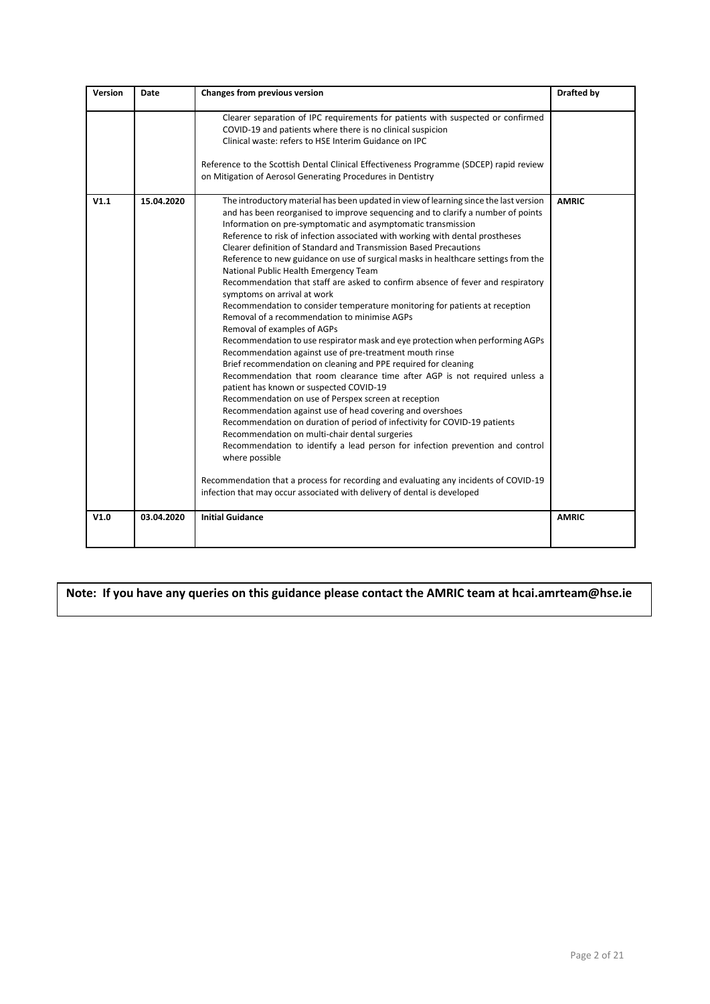| Version | Date       | Changes from previous version                                                                                                                                                                                                                                                                                                                                                                                                                                                                                                                                                                                                                                                                                                                                                                                                                                                                                                                                                                                                                                                                                                                                                                                                                                                                                                                                                                                                                                                                                                                                                                                                                                                    | Drafted by   |
|---------|------------|----------------------------------------------------------------------------------------------------------------------------------------------------------------------------------------------------------------------------------------------------------------------------------------------------------------------------------------------------------------------------------------------------------------------------------------------------------------------------------------------------------------------------------------------------------------------------------------------------------------------------------------------------------------------------------------------------------------------------------------------------------------------------------------------------------------------------------------------------------------------------------------------------------------------------------------------------------------------------------------------------------------------------------------------------------------------------------------------------------------------------------------------------------------------------------------------------------------------------------------------------------------------------------------------------------------------------------------------------------------------------------------------------------------------------------------------------------------------------------------------------------------------------------------------------------------------------------------------------------------------------------------------------------------------------------|--------------|
|         |            | Clearer separation of IPC requirements for patients with suspected or confirmed<br>COVID-19 and patients where there is no clinical suspicion<br>Clinical waste: refers to HSE Interim Guidance on IPC<br>Reference to the Scottish Dental Clinical Effectiveness Programme (SDCEP) rapid review<br>on Mitigation of Aerosol Generating Procedures in Dentistry                                                                                                                                                                                                                                                                                                                                                                                                                                                                                                                                                                                                                                                                                                                                                                                                                                                                                                                                                                                                                                                                                                                                                                                                                                                                                                                  |              |
| V1.1    | 15.04.2020 | The introductory material has been updated in view of learning since the last version<br>and has been reorganised to improve sequencing and to clarify a number of points<br>Information on pre-symptomatic and asymptomatic transmission<br>Reference to risk of infection associated with working with dental prostheses<br>Clearer definition of Standard and Transmission Based Precautions<br>Reference to new guidance on use of surgical masks in healthcare settings from the<br>National Public Health Emergency Team<br>Recommendation that staff are asked to confirm absence of fever and respiratory<br>symptoms on arrival at work<br>Recommendation to consider temperature monitoring for patients at reception<br>Removal of a recommendation to minimise AGPs<br>Removal of examples of AGPs<br>Recommendation to use respirator mask and eye protection when performing AGPs<br>Recommendation against use of pre-treatment mouth rinse<br>Brief recommendation on cleaning and PPE required for cleaning<br>Recommendation that room clearance time after AGP is not required unless a<br>patient has known or suspected COVID-19<br>Recommendation on use of Perspex screen at reception<br>Recommendation against use of head covering and overshoes<br>Recommendation on duration of period of infectivity for COVID-19 patients<br>Recommendation on multi-chair dental surgeries<br>Recommendation to identify a lead person for infection prevention and control<br>where possible<br>Recommendation that a process for recording and evaluating any incidents of COVID-19<br>infection that may occur associated with delivery of dental is developed | <b>AMRIC</b> |
| V1.0    | 03.04.2020 | <b>Initial Guidance</b>                                                                                                                                                                                                                                                                                                                                                                                                                                                                                                                                                                                                                                                                                                                                                                                                                                                                                                                                                                                                                                                                                                                                                                                                                                                                                                                                                                                                                                                                                                                                                                                                                                                          | <b>AMRIC</b> |

**Note: If you have any queries on this guidance please contact the AMRIC team at hcai.amrteam@hse.ie**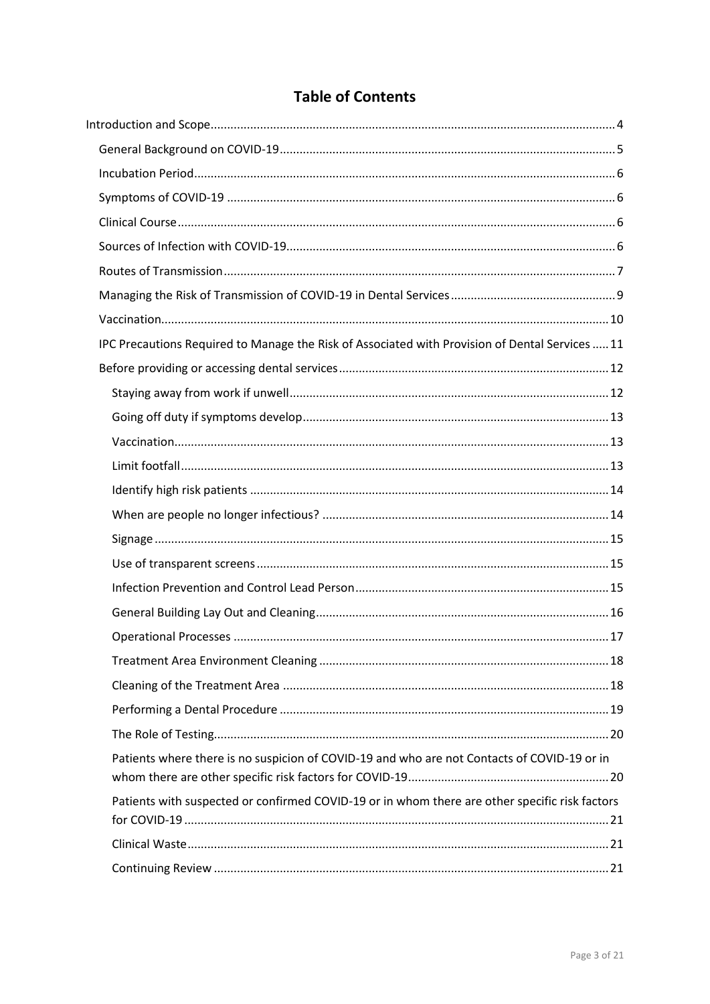| <b>Table of Contents</b> |  |
|--------------------------|--|
|--------------------------|--|

| IPC Precautions Required to Manage the Risk of Associated with Provision of Dental Services  11 |
|-------------------------------------------------------------------------------------------------|
|                                                                                                 |
|                                                                                                 |
|                                                                                                 |
|                                                                                                 |
|                                                                                                 |
|                                                                                                 |
|                                                                                                 |
|                                                                                                 |
|                                                                                                 |
|                                                                                                 |
|                                                                                                 |
|                                                                                                 |
|                                                                                                 |
|                                                                                                 |
|                                                                                                 |
|                                                                                                 |
| Patients where there is no suspicion of COVID-19 and who are not Contacts of COVID-19 or in     |
| Patients with suspected or confirmed COVID-19 or in whom there are other specific risk factors  |
|                                                                                                 |
|                                                                                                 |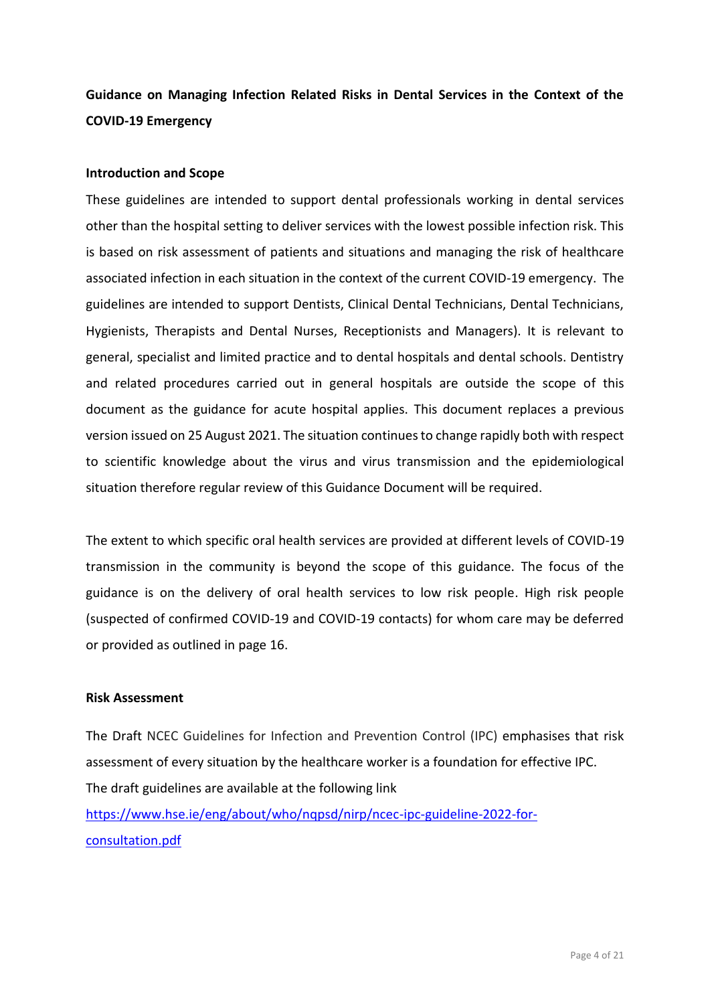**Guidance on Managing Infection Related Risks in Dental Services in the Context of the COVID-19 Emergency**

#### <span id="page-3-0"></span>**Introduction and Scope**

These guidelines are intended to support dental professionals working in dental services other than the hospital setting to deliver services with the lowest possible infection risk. This is based on risk assessment of patients and situations and managing the risk of healthcare associated infection in each situation in the context of the current COVID-19 emergency. The guidelines are intended to support Dentists, Clinical Dental Technicians, Dental Technicians, Hygienists, Therapists and Dental Nurses, Receptionists and Managers). It is relevant to general, specialist and limited practice and to dental hospitals and dental schools. Dentistry and related procedures carried out in general hospitals are outside the scope of this document as the guidance for acute hospital applies. This document replaces a previous version issued on 25 August 2021. The situation continues to change rapidly both with respect to scientific knowledge about the virus and virus transmission and the epidemiological situation therefore regular review of this Guidance Document will be required.

The extent to which specific oral health services are provided at different levels of COVID-19 transmission in the community is beyond the scope of this guidance. The focus of the guidance is on the delivery of oral health services to low risk people. High risk people (suspected of confirmed COVID-19 and COVID-19 contacts) for whom care may be deferred or provided as outlined in page 16.

#### **Risk Assessment**

The Draft NCEC Guidelines for Infection and Prevention Control (IPC) emphasises that risk assessment of every situation by the healthcare worker is a foundation for effective IPC. The draft guidelines are available at the following link [https://www.hse.ie/eng/about/who/nqpsd/nirp/ncec-ipc-guideline-2022-for](https://www.hse.ie/eng/about/who/nqpsd/nirp/ncec-ipc-guideline-2022-for-consultation.pdf)[consultation.pdf](https://www.hse.ie/eng/about/who/nqpsd/nirp/ncec-ipc-guideline-2022-for-consultation.pdf)

Page 4 of 21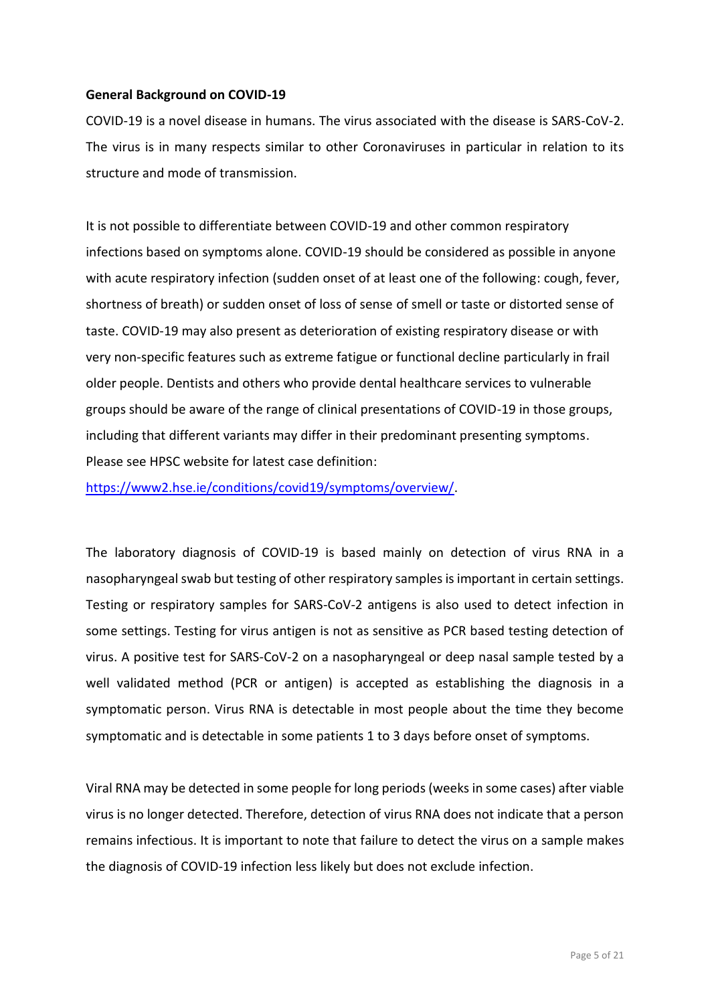#### <span id="page-4-0"></span>**General Background on COVID-19**

COVID-19 is a novel disease in humans. The virus associated with the disease is SARS-CoV-2. The virus is in many respects similar to other Coronaviruses in particular in relation to its structure and mode of transmission.

It is not possible to differentiate between COVID-19 and other common respiratory infections based on symptoms alone. COVID-19 should be considered as possible in anyone with acute respiratory infection (sudden onset of at least one of the following: cough, fever, shortness of breath) or sudden onset of loss of sense of smell or taste or distorted sense of taste. COVID-19 may also present as deterioration of existing respiratory disease or with very non-specific features such as extreme fatigue or functional decline particularly in frail older people. Dentists and others who provide dental healthcare services to vulnerable groups should be aware of the range of clinical presentations of COVID-19 in those groups, including that different variants may differ in their predominant presenting symptoms. Please see HPSC website for latest case definition:

[https://www2.hse.ie/conditions/covid19/symptoms/overview/.](https://www2.hse.ie/conditions/covid19/symptoms/overview/)

The laboratory diagnosis of COVID-19 is based mainly on detection of virus RNA in a nasopharyngeal swab but testing of other respiratory samples is important in certain settings. Testing or respiratory samples for SARS-CoV-2 antigens is also used to detect infection in some settings. Testing for virus antigen is not as sensitive as PCR based testing detection of virus. A positive test for SARS-CoV-2 on a nasopharyngeal or deep nasal sample tested by a well validated method (PCR or antigen) is accepted as establishing the diagnosis in a symptomatic person. Virus RNA is detectable in most people about the time they become symptomatic and is detectable in some patients 1 to 3 days before onset of symptoms.

Viral RNA may be detected in some people for long periods (weeks in some cases) after viable virus is no longer detected. Therefore, detection of virus RNA does not indicate that a person remains infectious. It is important to note that failure to detect the virus on a sample makes the diagnosis of COVID-19 infection less likely but does not exclude infection.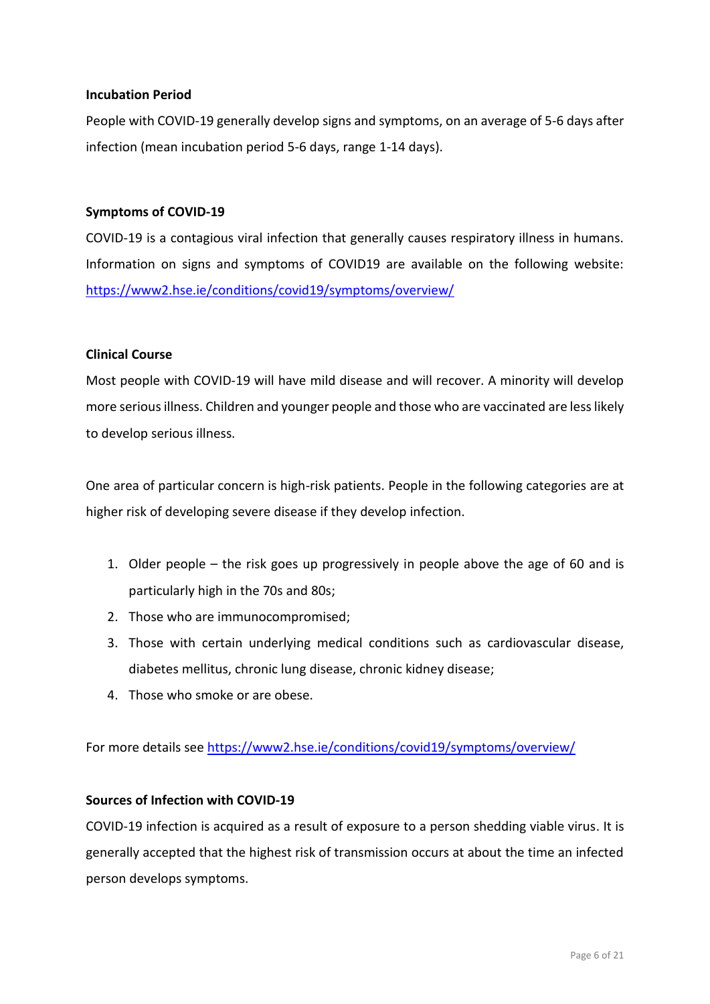#### <span id="page-5-0"></span>**Incubation Period**

People with COVID-19 generally develop signs and symptoms, on an average of 5-6 days after infection (mean incubation period 5-6 days, range 1-14 days).

#### <span id="page-5-1"></span>**Symptoms of COVID-19**

COVID-19 is a contagious viral infection that generally causes respiratory illness in humans. Information on signs and symptoms of COVID19 are available on the following website: <https://www2.hse.ie/conditions/covid19/symptoms/overview/>

#### <span id="page-5-2"></span>**Clinical Course**

Most people with COVID-19 will have mild disease and will recover. A minority will develop more serious illness. Children and younger people and those who are vaccinated are less likely to develop serious illness.

One area of particular concern is high-risk patients. People in the following categories are at higher risk of developing severe disease if they develop infection.

- 1. Older people the risk goes up progressively in people above the age of 60 and is particularly high in the 70s and 80s;
- 2. Those who are immunocompromised;
- 3. Those with certain underlying medical conditions such as cardiovascular disease, diabetes mellitus, chronic lung disease, chronic kidney disease;
- 4. Those who smoke or are obese.

For more details see<https://www2.hse.ie/conditions/covid19/symptoms/overview/>

#### <span id="page-5-3"></span>**Sources of Infection with COVID-19**

COVID-19 infection is acquired as a result of exposure to a person shedding viable virus. It is generally accepted that the highest risk of transmission occurs at about the time an infected person develops symptoms.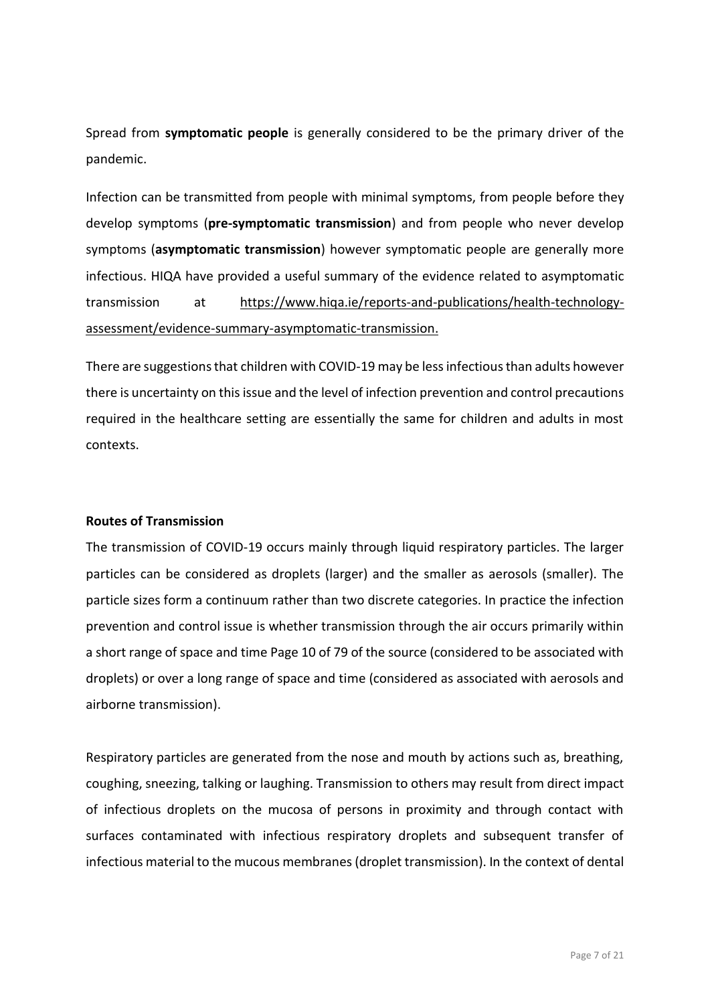Spread from **symptomatic people** is generally considered to be the primary driver of the pandemic.

Infection can be transmitted from people with minimal symptoms, from people before they develop symptoms (**pre-symptomatic transmission**) and from people who never develop symptoms (**asymptomatic transmission**) however symptomatic people are generally more infectious. HIQA have provided a useful summary of the evidence related to asymptomatic transmission at [https://www.hiqa.ie/reports-and-publications/health-technology](https://www.hiqa.ie/reports-and-publications/health-technology-assessment/evidence-summary-asymptomatic-transmission)[assessment/evidence-summary-asymptomatic-transmission.](https://www.hiqa.ie/reports-and-publications/health-technology-assessment/evidence-summary-asymptomatic-transmission)

There are suggestions that children with COVID-19 may be less infectious than adults however there is uncertainty on this issue and the level of infection prevention and control precautions required in the healthcare setting are essentially the same for children and adults in most contexts.

#### <span id="page-6-0"></span>**Routes of Transmission**

The transmission of COVID-19 occurs mainly through liquid respiratory particles. The larger particles can be considered as droplets (larger) and the smaller as aerosols (smaller). The particle sizes form a continuum rather than two discrete categories. In practice the infection prevention and control issue is whether transmission through the air occurs primarily within a short range of space and time Page 10 of 79 of the source (considered to be associated with droplets) or over a long range of space and time (considered as associated with aerosols and airborne transmission).

Respiratory particles are generated from the nose and mouth by actions such as, breathing, coughing, sneezing, talking or laughing. Transmission to others may result from direct impact of infectious droplets on the mucosa of persons in proximity and through contact with surfaces contaminated with infectious respiratory droplets and subsequent transfer of infectious material to the mucous membranes (droplet transmission). In the context of dental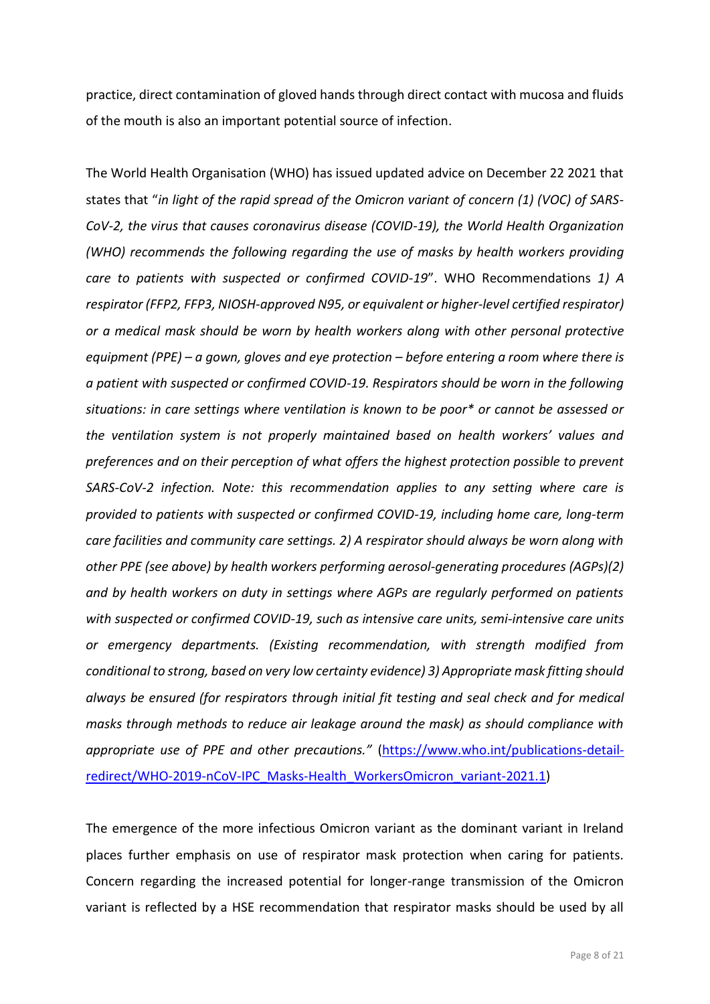practice, direct contamination of gloved hands through direct contact with mucosa and fluids of the mouth is also an important potential source of infection.

The World Health Organisation (WHO) has issued updated advice on December 22 2021 that states that "*in light of the rapid spread of the Omicron variant of concern (1) (VOC) of SARS-CoV-2, the virus that causes coronavirus disease (COVID-19), the World Health Organization (WHO) recommends the following regarding the use of masks by health workers providing care to patients with suspected or confirmed COVID-19*". WHO Recommendations *1) A respirator (FFP2, FFP3, NIOSH-approved N95, or equivalent or higher-level certified respirator) or a medical mask should be worn by health workers along with other personal protective equipment (PPE) – a gown, gloves and eye protection – before entering a room where there is a patient with suspected or confirmed COVID-19. Respirators should be worn in the following situations: in care settings where ventilation is known to be poor\* or cannot be assessed or the ventilation system is not properly maintained based on health workers' values and preferences and on their perception of what offers the highest protection possible to prevent SARS-CoV-2 infection. Note: this recommendation applies to any setting where care is provided to patients with suspected or confirmed COVID-19, including home care, long-term care facilities and community care settings. 2) A respirator should always be worn along with other PPE (see above) by health workers performing aerosol-generating procedures (AGPs)(2) and by health workers on duty in settings where AGPs are regularly performed on patients with suspected or confirmed COVID-19, such as intensive care units, semi-intensive care units or emergency departments. (Existing recommendation, with strength modified from conditional to strong, based on very low certainty evidence) 3) Appropriate mask fitting should always be ensured (for respirators through initial fit testing and seal check and for medical masks through methods to reduce air leakage around the mask) as should compliance with appropriate use of PPE and other precautions."* [\(https://www.who.int/publications-detail](https://www.who.int/publications-detail-redirect/WHO-2019-nCoV-IPC_Masks-Health_WorkersOmicron_variant-2021.1)[redirect/WHO-2019-nCoV-IPC\\_Masks-Health\\_WorkersOmicron\\_variant-2021.1\)](https://www.who.int/publications-detail-redirect/WHO-2019-nCoV-IPC_Masks-Health_WorkersOmicron_variant-2021.1)

The emergence of the more infectious Omicron variant as the dominant variant in Ireland places further emphasis on use of respirator mask protection when caring for patients. Concern regarding the increased potential for longer-range transmission of the Omicron variant is reflected by a HSE recommendation that respirator masks should be used by all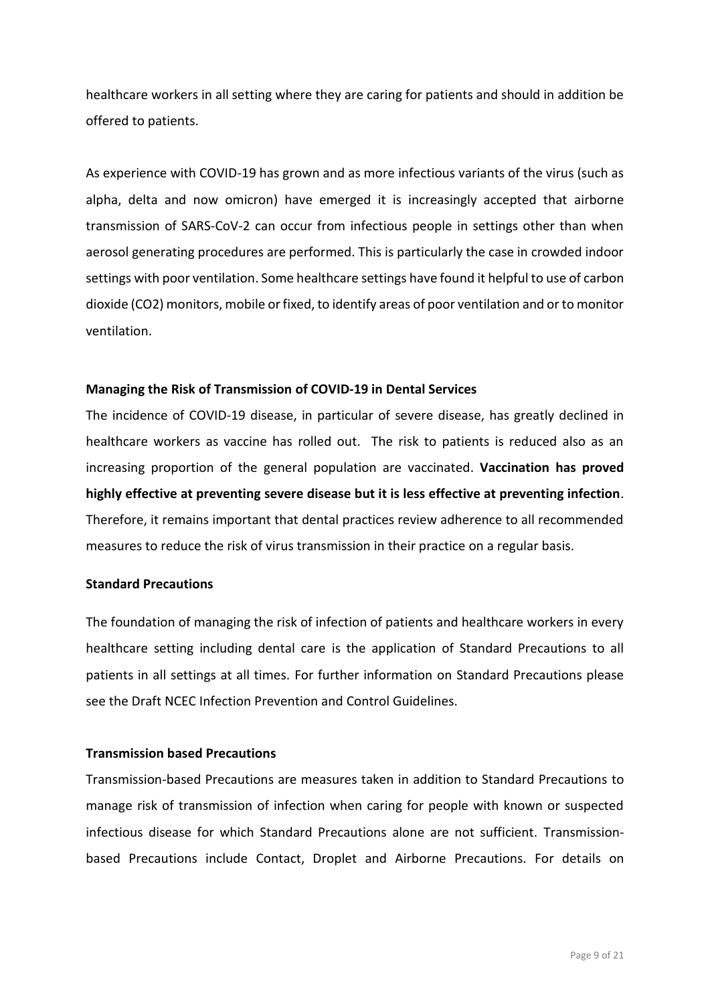healthcare workers in all setting where they are caring for patients and should in addition be offered to patients.

As experience with COVID-19 has grown and as more infectious variants of the virus (such as alpha, delta and now omicron) have emerged it is increasingly accepted that airborne transmission of SARS-CoV-2 can occur from infectious people in settings other than when aerosol generating procedures are performed. This is particularly the case in crowded indoor settings with poor ventilation. Some healthcare settings have found it helpful to use of carbon dioxide (CO2) monitors, mobile or fixed, to identify areas of poor ventilation and or to monitor ventilation.

#### <span id="page-8-0"></span>**Managing the Risk of Transmission of COVID-19 in Dental Services**

The incidence of COVID-19 disease, in particular of severe disease, has greatly declined in healthcare workers as vaccine has rolled out. The risk to patients is reduced also as an increasing proportion of the general population are vaccinated. **Vaccination has proved highly effective at preventing severe disease but it is less effective at preventing infection**. Therefore, it remains important that dental practices review adherence to all recommended measures to reduce the risk of virus transmission in their practice on a regular basis.

#### **Standard Precautions**

The foundation of managing the risk of infection of patients and healthcare workers in every healthcare setting including dental care is the application of Standard Precautions to all patients in all settings at all times. For further information on Standard Precautions please see the Draft NCEC Infection Prevention and Control Guidelines.

#### **Transmission based Precautions**

Transmission-based Precautions are measures taken in addition to Standard Precautions to manage risk of transmission of infection when caring for people with known or suspected infectious disease for which Standard Precautions alone are not sufficient. Transmissionbased Precautions include Contact, Droplet and Airborne Precautions. For details on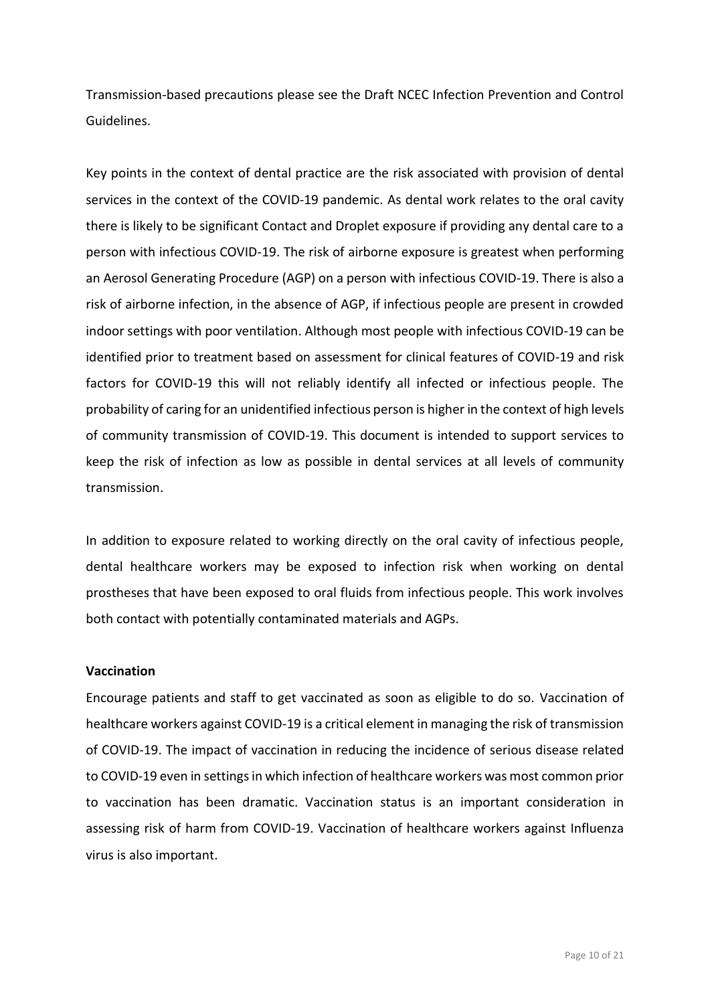Transmission-based precautions please see the Draft NCEC Infection Prevention and Control Guidelines.

Key points in the context of dental practice are the risk associated with provision of dental services in the context of the COVID-19 pandemic. As dental work relates to the oral cavity there is likely to be significant Contact and Droplet exposure if providing any dental care to a person with infectious COVID-19. The risk of airborne exposure is greatest when performing an Aerosol Generating Procedure (AGP) on a person with infectious COVID-19. There is also a risk of airborne infection, in the absence of AGP, if infectious people are present in crowded indoor settings with poor ventilation. Although most people with infectious COVID-19 can be identified prior to treatment based on assessment for clinical features of COVID-19 and risk factors for COVID-19 this will not reliably identify all infected or infectious people. The probability of caring for an unidentified infectious person is higher in the context of high levels of community transmission of COVID-19. This document is intended to support services to keep the risk of infection as low as possible in dental services at all levels of community transmission.

In addition to exposure related to working directly on the oral cavity of infectious people, dental healthcare workers may be exposed to infection risk when working on dental prostheses that have been exposed to oral fluids from infectious people. This work involves both contact with potentially contaminated materials and AGPs.

#### <span id="page-9-0"></span>**Vaccination**

Encourage patients and staff to get vaccinated as soon as eligible to do so. Vaccination of healthcare workers against COVID-19 is a critical element in managing the risk of transmission of COVID-19. The impact of vaccination in reducing the incidence of serious disease related to COVID-19 even in settings in which infection of healthcare workers was most common prior to vaccination has been dramatic. Vaccination status is an important consideration in assessing risk of harm from COVID-19. Vaccination of healthcare workers against Influenza virus is also important.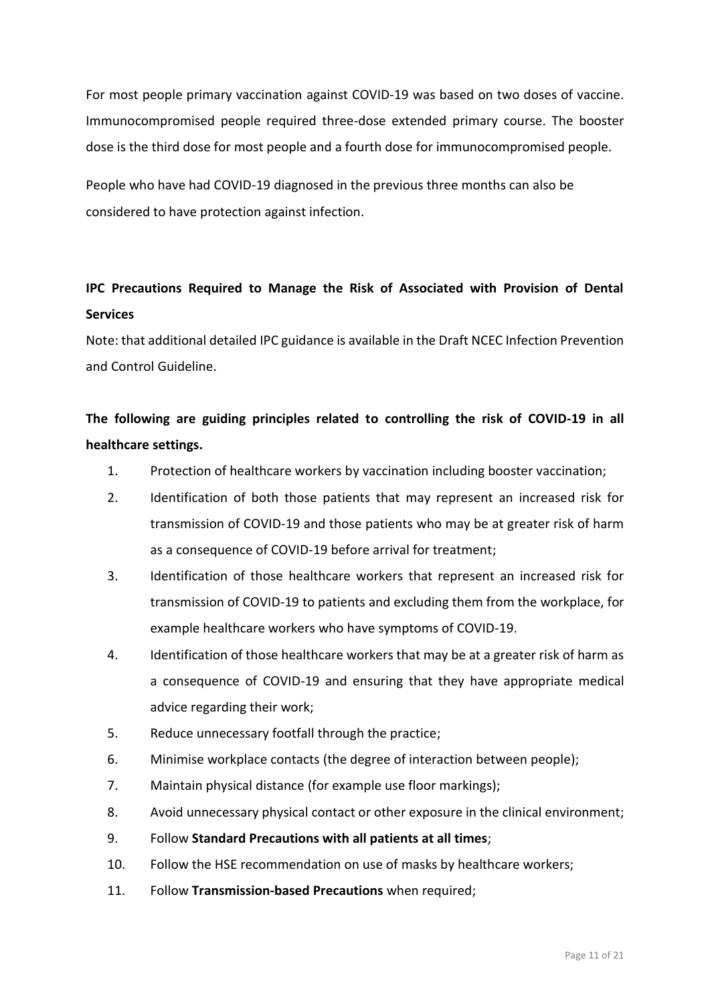For most people primary vaccination against COVID-19 was based on two doses of vaccine. Immunocompromised people required three-dose extended primary course. The booster dose is the third dose for most people and a fourth dose for immunocompromised people.

People who have had COVID-19 diagnosed in the previous three months can also be considered to have protection against infection.

### <span id="page-10-0"></span>**IPC Precautions Required to Manage the Risk of Associated with Provision of Dental Services**

Note: that additional detailed IPC guidance is available in the Draft NCEC Infection Prevention and Control Guideline.

## **The following are guiding principles related to controlling the risk of COVID-19 in all healthcare settings.**

- 1. Protection of healthcare workers by vaccination including booster vaccination;
- 2. Identification of both those patients that may represent an increased risk for transmission of COVID-19 and those patients who may be at greater risk of harm as a consequence of COVID-19 before arrival for treatment:
- 3. Identification of those healthcare workers that represent an increased risk for transmission of COVID-19 to patients and excluding them from the workplace, for example healthcare workers who have symptoms of COVID-19.
- 4. Identification of those healthcare workers that may be at a greater risk of harm as a consequence of COVID-19 and ensuring that they have appropriate medical advice regarding their work;
- 5. Reduce unnecessary footfall through the practice;
- 6. Minimise workplace contacts (the degree of interaction between people);
- 7. Maintain physical distance (for example use floor markings);
- 8. Avoid unnecessary physical contact or other exposure in the clinical environment;
- 9. Follow **Standard Precautions with all patients at all times**;
- 10. Follow the HSE recommendation on use of masks by healthcare workers;
- 11. Follow **Transmission-based Precautions** when required;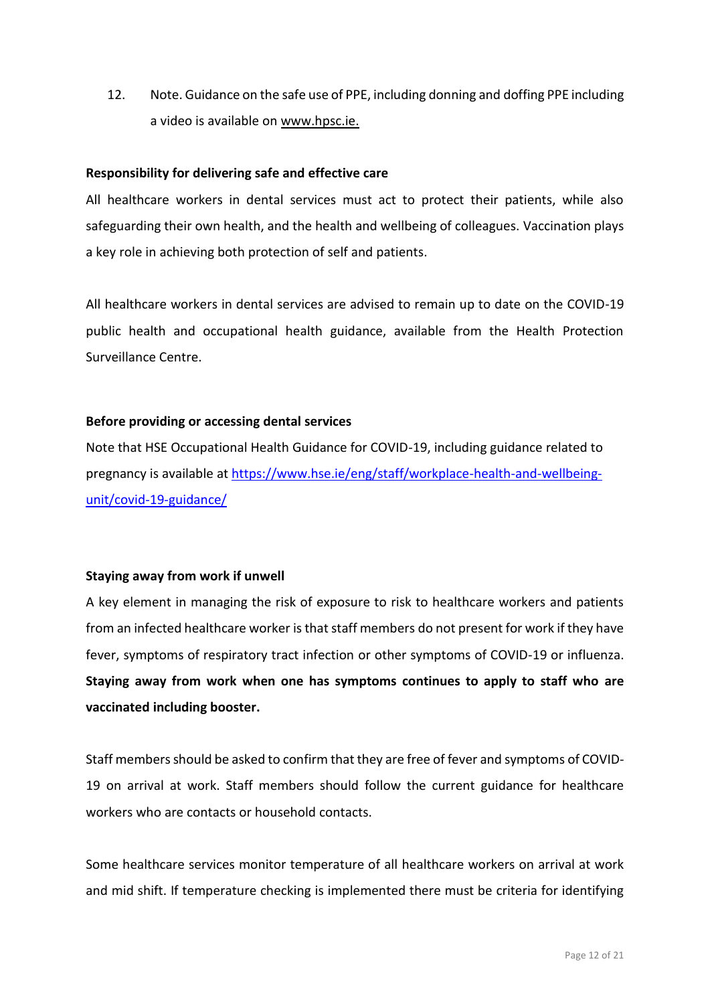12. Note. Guidance on the safe use of PPE, including donning and doffing PPE including a video is available on [www.hpsc.ie.](http://www.hpsc.ie/)

#### **Responsibility for delivering safe and effective care**

All healthcare workers in dental services must act to protect their patients, while also safeguarding their own health, and the health and wellbeing of colleagues. Vaccination plays a key role in achieving both protection of self and patients.

All healthcare workers in dental services are advised to remain up to date on the COVID-19 public health and occupational health guidance, available from the Health Protection Surveillance Centre.

#### <span id="page-11-0"></span>**Before providing or accessing dental services**

Note that HSE Occupational Health Guidance for COVID-19, including guidance related to pregnancy is available at [https://www.hse.ie/eng/staff/workplace-health-and-wellbeing](https://www.hse.ie/eng/staff/workplace-health-and-wellbeing-unit/covid-19-guidance/)[unit/covid-19-guidance/](https://www.hse.ie/eng/staff/workplace-health-and-wellbeing-unit/covid-19-guidance/)

#### <span id="page-11-1"></span>**Staying away from work if unwell**

A key element in managing the risk of exposure to risk to healthcare workers and patients from an infected healthcare worker is that staff members do not present for work if they have fever, symptoms of respiratory tract infection or other symptoms of COVID-19 or influenza. **Staying away from work when one has symptoms continues to apply to staff who are vaccinated including booster.**

Staff members should be asked to confirm that they are free of fever and symptoms of COVID-19 on arrival at work. Staff members should follow the current guidance for healthcare workers who are contacts or household contacts.

Some healthcare services monitor temperature of all healthcare workers on arrival at work and mid shift. If temperature checking is implemented there must be criteria for identifying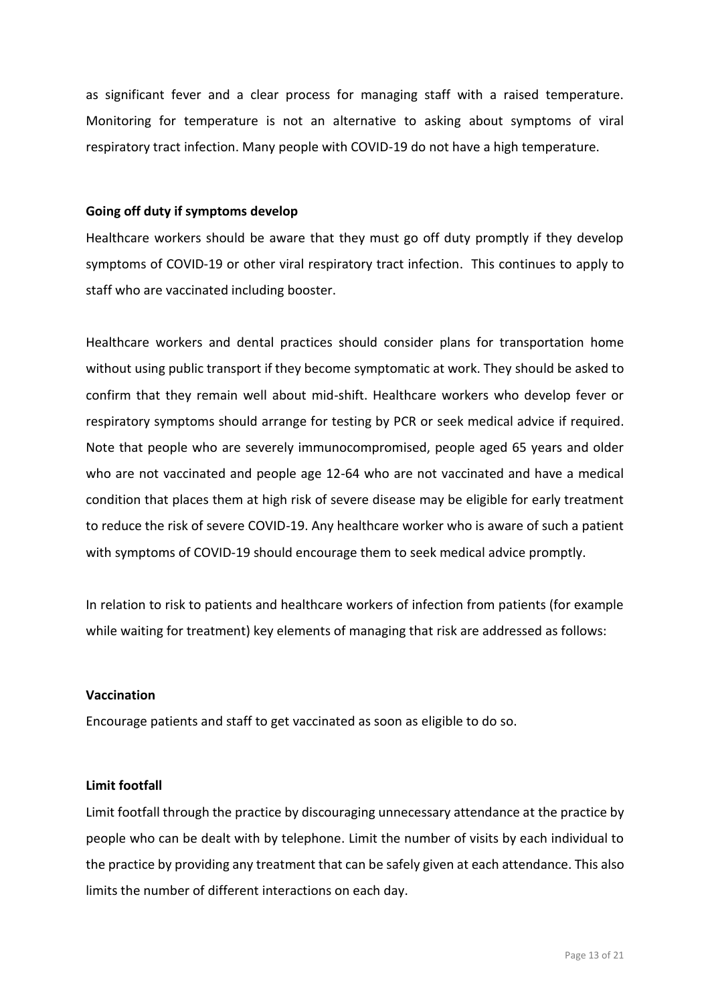as significant fever and a clear process for managing staff with a raised temperature. Monitoring for temperature is not an alternative to asking about symptoms of viral respiratory tract infection. Many people with COVID-19 do not have a high temperature.

#### <span id="page-12-0"></span>**Going off duty if symptoms develop**

Healthcare workers should be aware that they must go off duty promptly if they develop symptoms of COVID-19 or other viral respiratory tract infection. This continues to apply to staff who are vaccinated including booster.

Healthcare workers and dental practices should consider plans for transportation home without using public transport if they become symptomatic at work. They should be asked to confirm that they remain well about mid-shift. Healthcare workers who develop fever or respiratory symptoms should arrange for testing by PCR or seek medical advice if required. Note that people who are severely immunocompromised, people aged 65 years and older who are not vaccinated and people age 12-64 who are not vaccinated and have a medical condition that places them at high risk of severe disease may be eligible for early treatment to reduce the risk of severe COVID-19. Any healthcare worker who is aware of such a patient with symptoms of COVID-19 should encourage them to seek medical advice promptly.

In relation to risk to patients and healthcare workers of infection from patients (for example while waiting for treatment) key elements of managing that risk are addressed as follows:

#### <span id="page-12-1"></span>**Vaccination**

Encourage patients and staff to get vaccinated as soon as eligible to do so.

#### <span id="page-12-2"></span>**Limit footfall**

Limit footfall through the practice by discouraging unnecessary attendance at the practice by people who can be dealt with by telephone. Limit the number of visits by each individual to the practice by providing any treatment that can be safely given at each attendance. This also limits the number of different interactions on each day.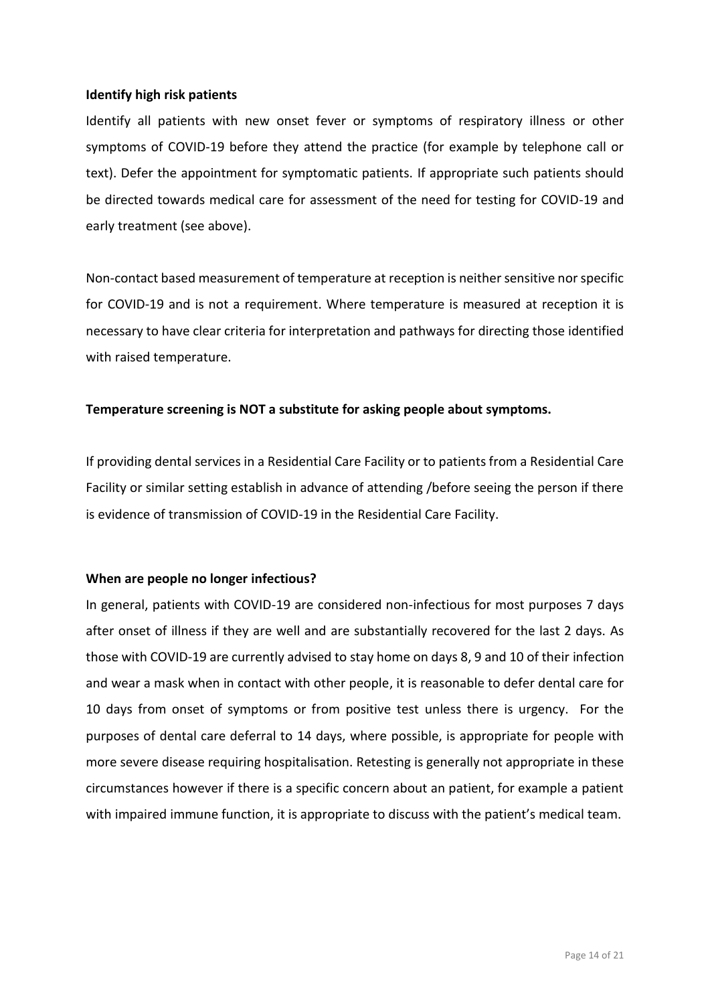#### <span id="page-13-0"></span>**Identify high risk patients**

Identify all patients with new onset fever or symptoms of respiratory illness or other symptoms of COVID-19 before they attend the practice (for example by telephone call or text). Defer the appointment for symptomatic patients. If appropriate such patients should be directed towards medical care for assessment of the need for testing for COVID-19 and early treatment (see above).

Non-contact based measurement of temperature at reception is neither sensitive nor specific for COVID-19 and is not a requirement. Where temperature is measured at reception it is necessary to have clear criteria for interpretation and pathways for directing those identified with raised temperature.

#### **Temperature screening is NOT a substitute for asking people about symptoms.**

If providing dental services in a Residential Care Facility or to patients from a Residential Care Facility or similar setting establish in advance of attending /before seeing the person if there is evidence of transmission of COVID-19 in the Residential Care Facility.

#### <span id="page-13-1"></span>**When are people no longer infectious?**

In general, patients with COVID-19 are considered non-infectious for most purposes 7 days after onset of illness if they are well and are substantially recovered for the last 2 days. As those with COVID-19 are currently advised to stay home on days 8, 9 and 10 of their infection and wear a mask when in contact with other people, it is reasonable to defer dental care for 10 days from onset of symptoms or from positive test unless there is urgency. For the purposes of dental care deferral to 14 days, where possible, is appropriate for people with more severe disease requiring hospitalisation. Retesting is generally not appropriate in these circumstances however if there is a specific concern about an patient, for example a patient with impaired immune function, it is appropriate to discuss with the patient's medical team.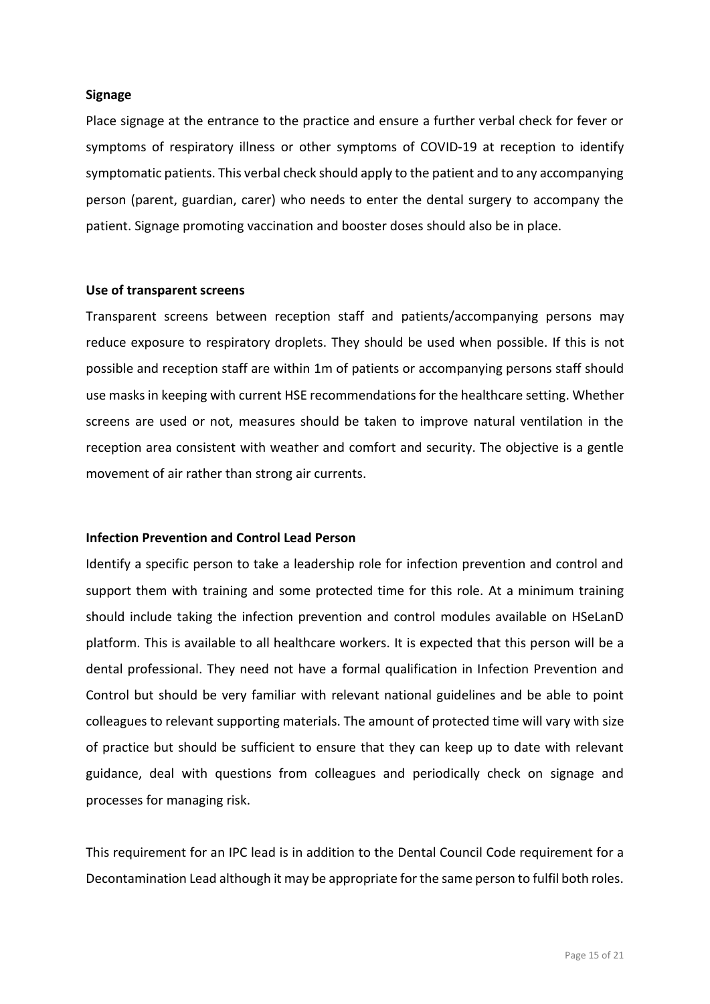#### <span id="page-14-0"></span>**Signage**

Place signage at the entrance to the practice and ensure a further verbal check for fever or symptoms of respiratory illness or other symptoms of COVID-19 at reception to identify symptomatic patients. This verbal check should apply to the patient and to any accompanying person (parent, guardian, carer) who needs to enter the dental surgery to accompany the patient. Signage promoting vaccination and booster doses should also be in place.

#### <span id="page-14-1"></span>**Use of transparent screens**

Transparent screens between reception staff and patients/accompanying persons may reduce exposure to respiratory droplets. They should be used when possible. If this is not possible and reception staff are within 1m of patients or accompanying persons staff should use masks in keeping with current HSE recommendations for the healthcare setting. Whether screens are used or not, measures should be taken to improve natural ventilation in the reception area consistent with weather and comfort and security. The objective is a gentle movement of air rather than strong air currents.

#### <span id="page-14-2"></span>**Infection Prevention and Control Lead Person**

Identify a specific person to take a leadership role for infection prevention and control and support them with training and some protected time for this role. At a minimum training should include taking the infection prevention and control modules available on HSeLanD platform. This is available to all healthcare workers. It is expected that this person will be a dental professional. They need not have a formal qualification in Infection Prevention and Control but should be very familiar with relevant national guidelines and be able to point colleagues to relevant supporting materials. The amount of protected time will vary with size of practice but should be sufficient to ensure that they can keep up to date with relevant guidance, deal with questions from colleagues and periodically check on signage and processes for managing risk.

This requirement for an IPC lead is in addition to the Dental Council Code requirement for a Decontamination Lead although it may be appropriate for the same person to fulfil both roles.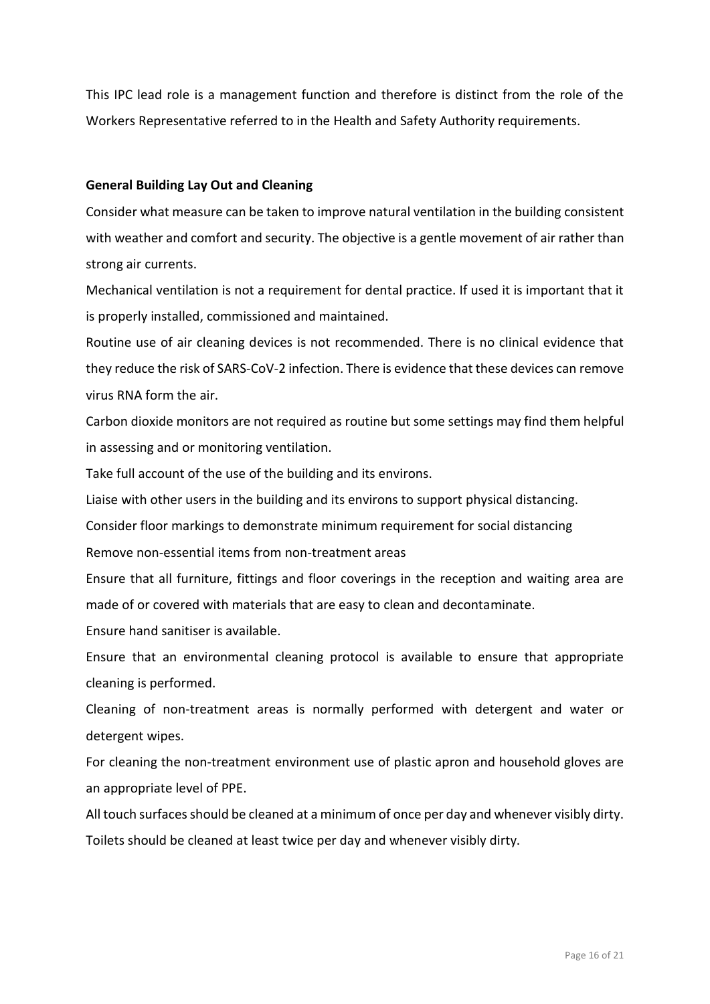This IPC lead role is a management function and therefore is distinct from the role of the Workers Representative referred to in the Health and Safety Authority requirements.

#### <span id="page-15-0"></span>**General Building Lay Out and Cleaning**

Consider what measure can be taken to improve natural ventilation in the building consistent with weather and comfort and security. The objective is a gentle movement of air rather than strong air currents.

Mechanical ventilation is not a requirement for dental practice. If used it is important that it is properly installed, commissioned and maintained.

Routine use of air cleaning devices is not recommended. There is no clinical evidence that they reduce the risk of SARS-CoV-2 infection. There is evidence that these devices can remove virus RNA form the air.

Carbon dioxide monitors are not required as routine but some settings may find them helpful in assessing and or monitoring ventilation.

Take full account of the use of the building and its environs.

Liaise with other users in the building and its environs to support physical distancing.

Consider floor markings to demonstrate minimum requirement for social distancing

Remove non-essential items from non-treatment areas

Ensure that all furniture, fittings and floor coverings in the reception and waiting area are made of or covered with materials that are easy to clean and decontaminate.

Ensure hand sanitiser is available.

Ensure that an environmental cleaning protocol is available to ensure that appropriate cleaning is performed.

Cleaning of non-treatment areas is normally performed with detergent and water or detergent wipes.

For cleaning the non-treatment environment use of plastic apron and household gloves are an appropriate level of PPE.

All touch surfaces should be cleaned at a minimum of once per day and whenever visibly dirty. Toilets should be cleaned at least twice per day and whenever visibly dirty.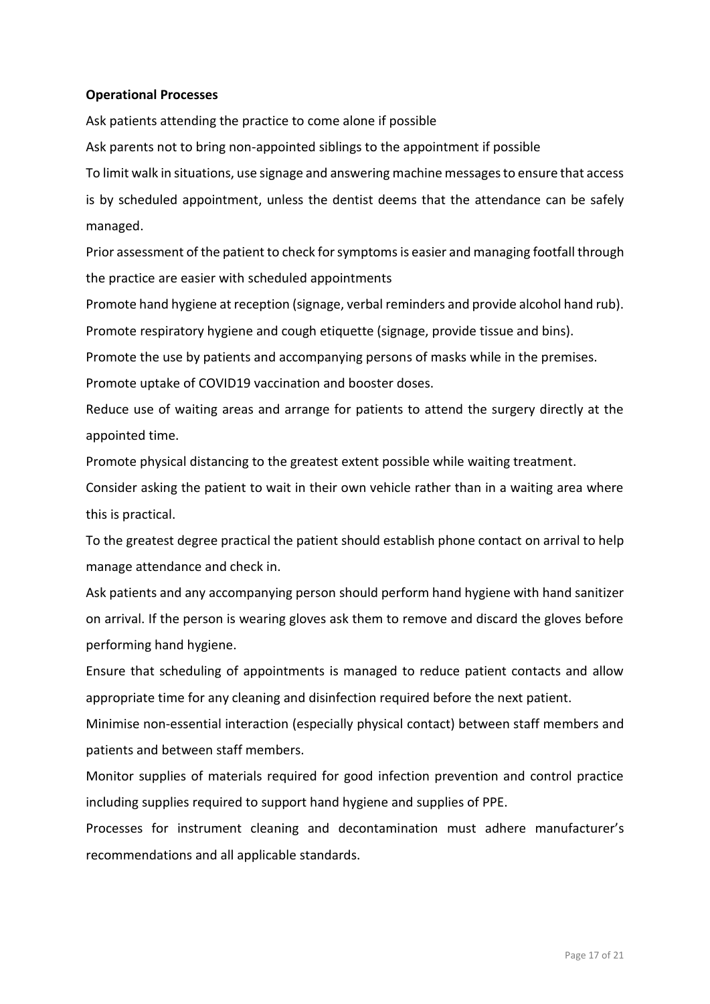#### <span id="page-16-0"></span>**Operational Processes**

Ask patients attending the practice to come alone if possible

Ask parents not to bring non-appointed siblings to the appointment if possible

To limit walk in situations, use signage and answering machine messages to ensure that access is by scheduled appointment, unless the dentist deems that the attendance can be safely managed.

Prior assessment of the patient to check for symptoms is easier and managing footfall through the practice are easier with scheduled appointments

Promote hand hygiene at reception (signage, verbal reminders and provide alcohol hand rub).

Promote respiratory hygiene and cough etiquette (signage, provide tissue and bins).

Promote the use by patients and accompanying persons of masks while in the premises.

Promote uptake of COVID19 vaccination and booster doses.

Reduce use of waiting areas and arrange for patients to attend the surgery directly at the appointed time.

Promote physical distancing to the greatest extent possible while waiting treatment.

Consider asking the patient to wait in their own vehicle rather than in a waiting area where this is practical.

To the greatest degree practical the patient should establish phone contact on arrival to help manage attendance and check in.

Ask patients and any accompanying person should perform hand hygiene with hand sanitizer on arrival. If the person is wearing gloves ask them to remove and discard the gloves before performing hand hygiene.

Ensure that scheduling of appointments is managed to reduce patient contacts and allow appropriate time for any cleaning and disinfection required before the next patient.

Minimise non-essential interaction (especially physical contact) between staff members and patients and between staff members.

Monitor supplies of materials required for good infection prevention and control practice including supplies required to support hand hygiene and supplies of PPE.

Processes for instrument cleaning and decontamination must adhere manufacturer's recommendations and all applicable standards.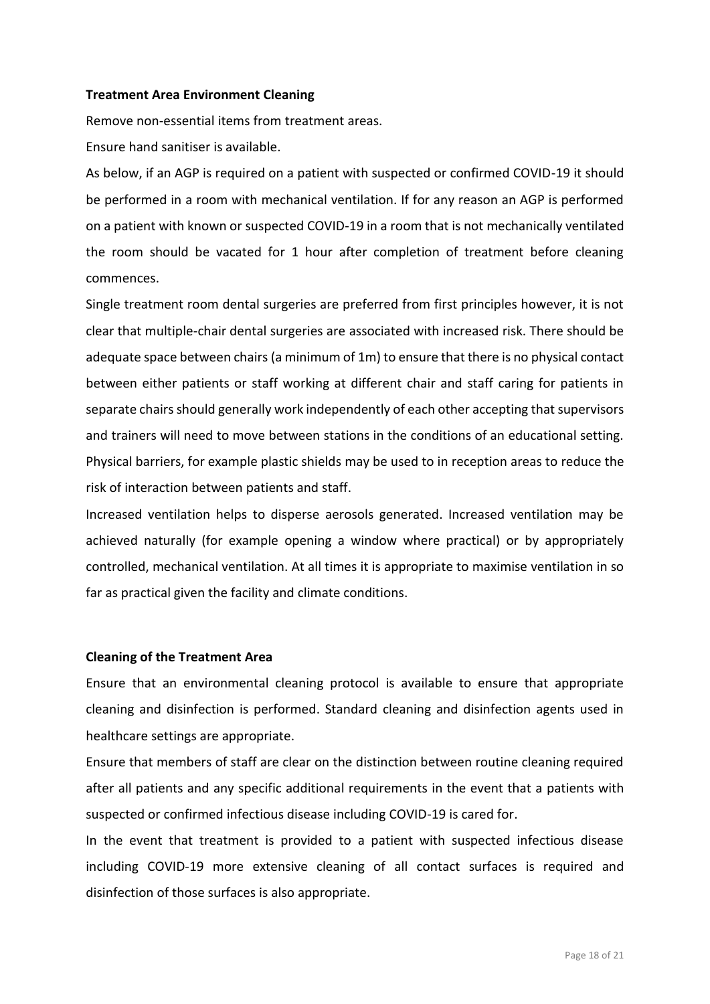#### <span id="page-17-0"></span>**Treatment Area Environment Cleaning**

Remove non-essential items from treatment areas.

Ensure hand sanitiser is available.

As below, if an AGP is required on a patient with suspected or confirmed COVID-19 it should be performed in a room with mechanical ventilation. If for any reason an AGP is performed on a patient with known or suspected COVID-19 in a room that is not mechanically ventilated the room should be vacated for 1 hour after completion of treatment before cleaning commences.

Single treatment room dental surgeries are preferred from first principles however, it is not clear that multiple-chair dental surgeries are associated with increased risk. There should be adequate space between chairs (a minimum of 1m) to ensure that there is no physical contact between either patients or staff working at different chair and staff caring for patients in separate chairs should generally work independently of each other accepting that supervisors and trainers will need to move between stations in the conditions of an educational setting. Physical barriers, for example plastic shields may be used to in reception areas to reduce the risk of interaction between patients and staff.

Increased ventilation helps to disperse aerosols generated. Increased ventilation may be achieved naturally (for example opening a window where practical) or by appropriately controlled, mechanical ventilation. At all times it is appropriate to maximise ventilation in so far as practical given the facility and climate conditions.

#### <span id="page-17-1"></span>**Cleaning of the Treatment Area**

Ensure that an environmental cleaning protocol is available to ensure that appropriate cleaning and disinfection is performed. Standard cleaning and disinfection agents used in healthcare settings are appropriate.

Ensure that members of staff are clear on the distinction between routine cleaning required after all patients and any specific additional requirements in the event that a patients with suspected or confirmed infectious disease including COVID-19 is cared for.

In the event that treatment is provided to a patient with suspected infectious disease including COVID-19 more extensive cleaning of all contact surfaces is required and disinfection of those surfaces is also appropriate.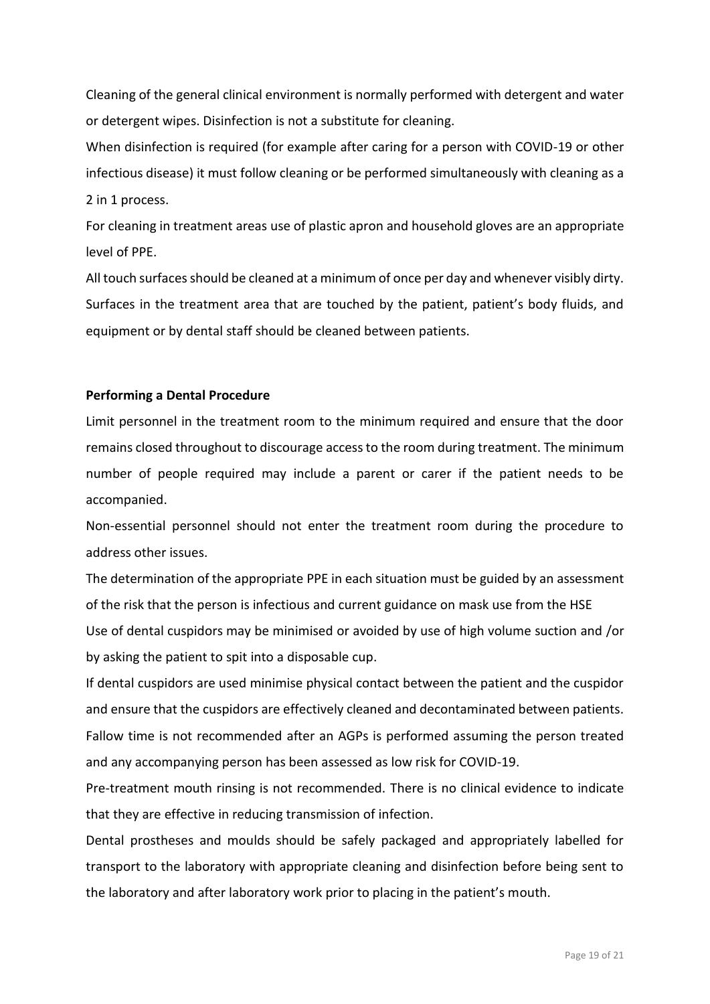Cleaning of the general clinical environment is normally performed with detergent and water or detergent wipes. Disinfection is not a substitute for cleaning.

When disinfection is required (for example after caring for a person with COVID-19 or other infectious disease) it must follow cleaning or be performed simultaneously with cleaning as a 2 in 1 process.

For cleaning in treatment areas use of plastic apron and household gloves are an appropriate level of PPE.

All touch surfaces should be cleaned at a minimum of once per day and whenever visibly dirty. Surfaces in the treatment area that are touched by the patient, patient's body fluids, and equipment or by dental staff should be cleaned between patients.

#### <span id="page-18-0"></span>**Performing a Dental Procedure**

Limit personnel in the treatment room to the minimum required and ensure that the door remains closed throughout to discourage access to the room during treatment. The minimum number of people required may include a parent or carer if the patient needs to be accompanied.

Non-essential personnel should not enter the treatment room during the procedure to address other issues.

The determination of the appropriate PPE in each situation must be guided by an assessment of the risk that the person is infectious and current guidance on mask use from the HSE

Use of dental cuspidors may be minimised or avoided by use of high volume suction and /or by asking the patient to spit into a disposable cup.

If dental cuspidors are used minimise physical contact between the patient and the cuspidor and ensure that the cuspidors are effectively cleaned and decontaminated between patients. Fallow time is not recommended after an AGPs is performed assuming the person treated and any accompanying person has been assessed as low risk for COVID-19.

Pre-treatment mouth rinsing is not recommended. There is no clinical evidence to indicate that they are effective in reducing transmission of infection.

Dental prostheses and moulds should be safely packaged and appropriately labelled for transport to the laboratory with appropriate cleaning and disinfection before being sent to the laboratory and after laboratory work prior to placing in the patient's mouth.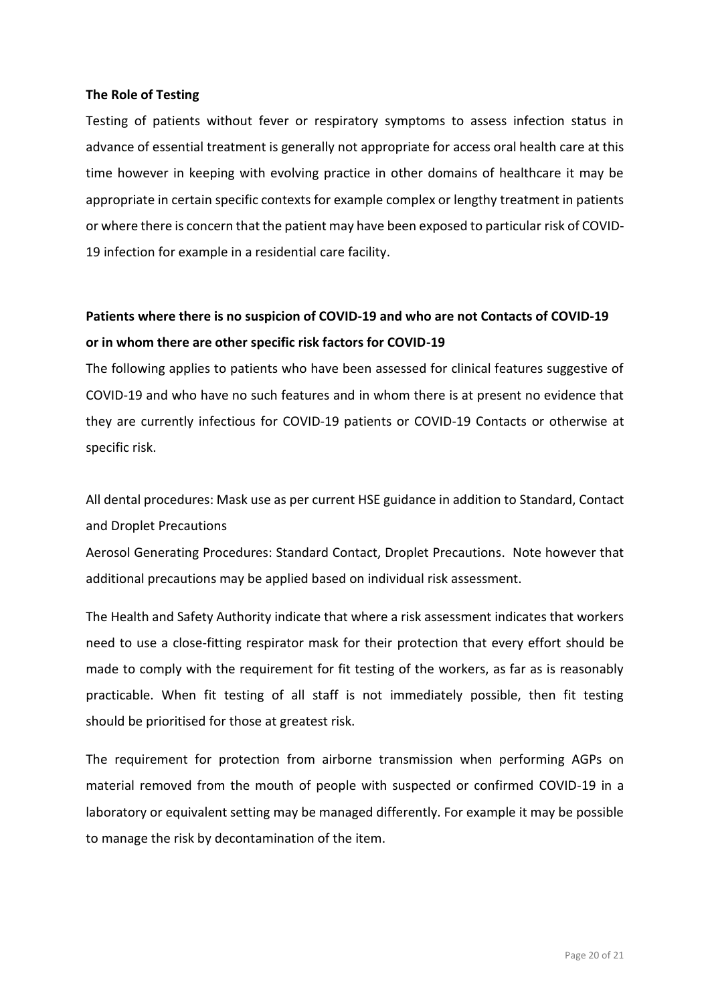#### <span id="page-19-0"></span>**The Role of Testing**

Testing of patients without fever or respiratory symptoms to assess infection status in advance of essential treatment is generally not appropriate for access oral health care at this time however in keeping with evolving practice in other domains of healthcare it may be appropriate in certain specific contexts for example complex or lengthy treatment in patients or where there is concern that the patient may have been exposed to particular risk of COVID-19 infection for example in a residential care facility.

### <span id="page-19-1"></span>**Patients where there is no suspicion of COVID-19 and who are not Contacts of COVID-19 or in whom there are other specific risk factors for COVID-19**

The following applies to patients who have been assessed for clinical features suggestive of COVID-19 and who have no such features and in whom there is at present no evidence that they are currently infectious for COVID-19 patients or COVID-19 Contacts or otherwise at specific risk.

All dental procedures: Mask use as per current HSE guidance in addition to Standard, Contact and Droplet Precautions

Aerosol Generating Procedures: Standard Contact, Droplet Precautions. Note however that additional precautions may be applied based on individual risk assessment.

The Health and Safety Authority indicate that where a risk assessment indicates that workers need to use a close-fitting respirator mask for their protection that every effort should be made to comply with the requirement for fit testing of the workers, as far as is reasonably practicable. When fit testing of all staff is not immediately possible, then fit testing should be prioritised for those at greatest risk.

The requirement for protection from airborne transmission when performing AGPs on material removed from the mouth of people with suspected or confirmed COVID-19 in a laboratory or equivalent setting may be managed differently. For example it may be possible to manage the risk by decontamination of the item.